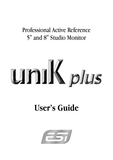# Professional Active Reference 5" and 8" Studio Monitor

# unik plus

# **User's Guide**

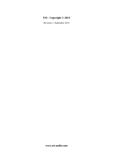## **ESI - Copyright © 2014**

Revision 1, September 2014

**www.esi-audio.com**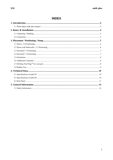# **INDEX**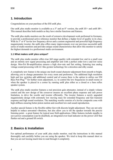## **1. Introduction**

Congratulations on your purchase of the ESI uniK plus.

Our uniK plus studio monitor is available as a 5" and an 8" version, the *uniK 05+* and *uniK 08+*. This manual describes both models as they have similar functions and features.

The uniK plus studio monitors are the result of extensive development work performed in Germany, to provide a professional active reference monitor that defines a higher level of quality in its class. With its 5" or 8" kevlar low frequency driver and a custom engineered and powerful high frequency magnetostatic tweeter, the uniK plus offers many improvements over our previous successful uniK series of studio monitors and provides unique sound characteristics that allow this monitor to satisfy the highest demands in a professional studio environment.

#### **1.1 What makes uniK plus unique?**

The uniK plus studio monitor offers true full range quality with extended low end in a small case and an entirely new signal processing and amplifier unit with a perfect order low-z and low noise design. Mos-Fet Bi-amplification ensures a high slew-rate and fast setting, featuring true analog vintage sound processing with LC-like gyrator technology for a stressless and silky sound.

A completely new feature is the unique one knob sound character adjustment from smooth to bright, allowing you to change parameters for every room and preference. The additional high resolution high and low switches add additional control and of course there is the option to utilize our ESI Bass Port Plug<sup>TM</sup> for further room adjustment, i.e. to control the low frequencies in small rooms or when the speaker is placed in a corner by running unik plus either as a closed or a bass reflex speaker system.

The uniK plus studio monitor features a real precision gain attenuator, instead of a simple volume control and the new design of the crossover ensures an excellent phase response and safe power limitation, to drive the woofer and tweeter efficiently. The tweeter features a newly upgraded magnetostatic design with extremely low moving mass for extended frequency and fast transient response and high sound resolution. The matching woofer consists of a kevlar composite cone with high stiffness ensuring better piston motion and excellent low-end sound reproduction.

Another special feature is the flexible rubber feet with discrete height adjustment. They are not only helpful to reduce unwanted vibrations, but also allow you to tilt the speaker towards the precise listening point - a great feature for typical near field applications. Other features include standby to save power consumption (can be disabled), an integrated over-load indicator on the power LED that flashes red and a ground lift switch.

## **2. Basics & Installation**

For optimal performance of your uniK plus studio monitor, read the instructions in this manual thoroughly and carefully before you are using the speaker. We tried to keep this manual short so that you are not loosing much time to read through it completely.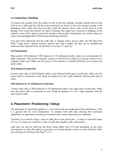#### **2.1 Unpacking / Handling**

To remove the monitor from the carton its best to turn the package carefully upside down on the floor or on a table and then lift the carton vertically up slowly to leave the monitor resting in the packaging foam. Make sure that you don't grab the speaker driver units on the front to avoid damage. Now check the monitor for signs of damage that might have occurred in shipping. In the unlikely event of this, please contact the reseller of the product immediately. Be careful when you remove the packaging foam. Please keep all packing materials.

You will when unpacking that the uniK plus is shipped with a power cable, the ESI Bass Port Plug<sup>TM</sup> made from a special acoustic material and with 4 rubber feet that can be installed and removed when required (more on that below in section 3.7 and 3.8).

#### **2.2 Connection**

High quality XLR balanced, TRS balanced or TS unbalanced audio cables are recommended for input connection. The monitor typically connects to the line level output of a mixing console or to a computer audio card. Make sure the power of the monitor is switched off before you connect any audio cables.

#### **XLR balanced connection**

Connect male side of XLR balanced cable to the balanced XLR input of uniK plus. Make sure the power cable is connected as well. Setup all speakers (i.e. left / right channels) with the same type of cable.

#### **TRS balanced or TS unbalanced connection**

Connect male side of TRS balanced or TS unbalanced cable to the input jack of uniK plus. Make sure the power cable is connected as well. Setup all speakers (i.e. left / right channels) with the same type of cable.

# **3. Placement / Positioning / Setup**

The placement of monitoring speakers is very critical and can compromise their performance. This is a general rule for every loudspeaker. To monitor with uniK plus utilizing their maximum capabilities, an appropriate listening environment and a correct placement are important.

Typically you would be using 2 units of uniK plus as one stereo pair – or more in surround setups (i.e. in a 5.1 setup you would use 5 units of uniK plus together with a subwoofer).

uniK plus can also be tilted up and down using rubber feet (3.8) and depending on the room environment you have the option to use them as a closed speaker system or open with bass reflex port utilizing our ESI Bass Port Plug<sup>TM</sup> (3.7).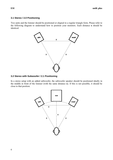#### **3.1 Stereo / 2.0 Positioning**

Two units and the listener should be positioned or aligned in a regular triangle form. Please refer to the following diagram to understand how to position your monitors. Each distance **x** should be identical.



#### **3.2 Stereo with Subwoofer / 2.1 Positioning**

In a stereo setup with an added subwoofer, the subwoofer speaker should be positioned ideally in the middle in front of the listener (with the same distance **x**). If this is not possible, it should be close to that position.

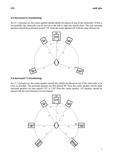#### **3.3 Surround 5.1 Positioning**

In a 5.1 surround set, the center speaker should ideally be placed on top of the subwoofer. If this is not possible, the subwoofer can be moved to the left or right but should close. The rear surround speakers should be positioned around 110° from the center speaker (all with the same distance **x**).



#### **3.4 Surround 7.1 Positioning**

In a 7.1 surround set, the center speaker should also ideally be placed on top of the subwoofer or as close as possible. The surround speakers are best placed  $90^\circ$  from the center speaker and the back surround speakers are best placed 135° to 150° from the center speaker. All speakers should be placed with the same distance **x** to the listener.

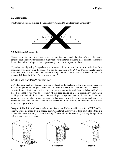#### **3.5 Orientation**

It's strongly suggested to place the uniK plus vertically. Do not place them horizontally.



#### **3.6 Additional Comments**

Please also make sure to not place any obstacles that may block the flow of air or that could generate sound reflections (especially highly reflective material including glass or metal) in front of the monitor. Also, don't put plants in pots on top or too close to your monitors.

If possible, avoid placing the speakers into the corner of a room as this may cause reflections from both sides, which may alter the sound. It is best to place them with a 90° or 0° angle in reference to the closest wall. If this cannot be avoided, it might be advisable to close the vent port with the included ESI Bass Port Plug<sup>TM</sup> (see below under 3.7).

#### **3.7 ESI Bass Port PlugTM for vent port**

uniK plus has a vent port that is conveniently placed on the backside of the unit, making sure that air does not get blown into your face when you listen in a near field situation and to make sure that parasitic frequencies from the inside of the cabinet are sent out through the rear. When uniK plus is placed too close to the wall or especially when placed angled in a room corner, low frequencies could get emphasized a bit too much. As vented speaker systems have this issue more than closed speakers, it can be better to have a closed speaker system when they are used in small rooms, in corners or very close to a wall – while when placed into a larger room, obviously the open system with the vent port is better.

Because of this, ESI developed a truly unique feature: uniK plus are shipped with an ESI Bass Port Plug<sup>TM</sup>. This plug made from a special acoustic material allows you to turn uniK plus either in a completely closed system (ESI Bass Port Plug<sup>TM</sup> inserted into the vent port) or a regular open bass reflex system (vent port is open):

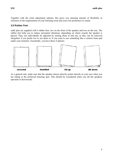Together with the room adjustment options, this gives you amazing amount of flexibility in reference to the requirements of your listening room and your own preference to sound.

#### **3.8 Rubber Feet**

uniK plus are supplied with 4 rubber feet, two on the front of the speaker and two on the rear. The rubber feet help you to reduce unwanted vibrations, depending on where exactly the speaker is placed. They can individually be adjusted by turning them in and out, or they can be removed altogether if you prefer not to use them or if you want to use something like a custom foam pad under your monitors. Essentially, you have these 4 options:



As a general rule, make sure that the speaker always directly points directly at your ears when you are sitting at the preferred listening spot. This should be considered when you tilt the speakers upwards or downwards.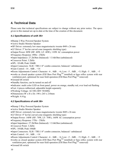# **4. Technical Data**

Please note that technical specifications are subject to change without any prior notice. The specs given in this manual are up-to-date at the time of the creation of this document.

#### **4.1 Specifications of uniK 05+**

- Biamp 2-Way Powered Speaker System
- Active Studio Monitor Speaker
- HF Driver: extremely low mass magnetostactic tweeter Φ49 x 26 mm
- LF Driver: 5" kevlar curved cone (magnetic shielding type)
- Output Power: 80W (HF: 40W, LF: 40W), 110W AC consumption power
- Frequency Response: 49Hz 25kHz
- Input Impedance: 27.2kOhm (balanced) / 13.6kOhm (unbalanced)
- Crossover Point: 3.2kHz
- SPL: 101dB, Peak 104dB
- Input Connectors: XLR / TRS 1/4" combo connector, balanced / unbalanced
- $\bullet$  Gain Control: -14 .. 0dB  $. +14$
- Room Adjustments Control: Character: -6 .. 0dB .. +6; Low: -5 .. 0dB .. +5; High: -5 .. 0dB .. +5
- works as closed speaker system (ESI Bass Port  $Plug^{TM}$  installed) or bass reflex system with rear ventilation port, optimised for near field operation (ESI Bass Port Plug<sup>TM</sup> removed)
- Ground lift switch
- Standby function, can be turned on and off
- Indicator: multi color LED on front panel, power on orange, standby red, over load red flashing
- Feet: 4 pieces rubberized, adjustable height separately
- Working Voltage: AC100-240V 50/60Hz
- $\bullet$  Dimensions (W x H x D): 190 x 265 x 210mm
- Weight: 4.4 kg

#### **4.2 Specifications of uniK 08+**

- Biamp 2-Way Powered Speaker System
- Active Studio Monitor Speaker
- HF Driver: extremely low mass magnetostactic tweeter Φ49 x 26 mm
- LF Driver: 8" kevlar curved cone (magnetic shielding type)
- Output Power: 140W (HF: 70W, LF: 70W), 160W AC consumption power
- Frequency Response: 37Hz 25kHz
- Input Impedance: 27.2kOhm (balanced) / 13.6kOhm (unbalanced)
- Crossover Point: 3.2kHz
- SPL: 105dB, Peak 108dB
- Input Connectors: XLR / TRS 1/4" combo connector, balanced / unbalanced
- $\bullet$  Gain Control: -14  $\ldots$  0dB  $\ldots$  +14
- Room Adjustments Control: Character:  $-6 \dots 0$ dB  $\ldots +6$ ; Low:  $-5 \dots 0$ dB  $\ldots +5$ ; High:  $-5 \dots 0$ dB  $\ldots +5$
- $\bullet$  works as closed speaker system (ESI Bass Port Plug<sup>TM</sup> installed) or bass reflex system with rear ventilation port, optimised for near field operation (ESI Bass Port Plug<sup>TM</sup> removed)
- Ground lift switch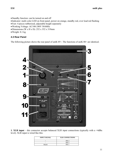- Standby function: can be turned on and off
- Indicator: multi color LED on front panel, power on orange, standby red, over load red flashing
- Feet: 4 pieces rubberized, adjustable height separately
- Working Voltage: AC100-240V 50/60Hz
- Dimensions (W x H x D): 252 x 352 x 319mm
- Weight: 8.1 kg

#### **4.3 Rear Panel**

The following picture shows the rear panel of uniK 05+. The functions of uniK 08+ are identical.



**1. XLR input** – this connector accepts balanced XLR input connections (typically with a +4dBu level). XLR input is wired like this:

| <b>INPUT SIGNAL</b> | <b>XLR CONNECTIONS</b> |
|---------------------|------------------------|
|                     | <b>PIN 2</b>           |
|                     | PIN <sub>3</sub>       |
| Shield              | PIN                    |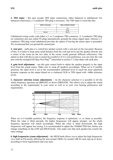| <b>INPUT SIGNAL</b> | <b>TRS CONNECTIONS</b> |
|---------------------|------------------------|
|                     |                        |
| -                   | Ring                   |
| Shield              | Sleeve                 |

Unbalanced wiring works with either a 2- or 3-conductor TRS connector. A 2-conductor TRS plug (or sometimes also just called TS plug) automatically grounds the minus signal input, whereas a 3 conductor TRS plug wired unbalanced provides the option of leaving the minus open or grounded. We recommend that you ground the unused part.

**3. vent port** – uniK plus is a vented box speaker system with a vent port on the rear panel. Because of this, it is better to keep some small distance from the wall and not to put the speaker directly into a corner of the room (as the two sides of the corner would generate different reflections). One option to deal with this in case it cannot be avoided or if it is your preference, you can close the vent port with the included ESI Bass Port  $Plug^{TM}$  (described in section 3.7) that ships with uniK plus.

**4. gain level adjustment** – use this gain control knob to adjust the speaker properly to the input level from the sound source. Make sure to setup all speakers accordingly. When set to 0 (middle position), the input level is set to the recommended calibrated level to reach the most optimised dynamic response on the output (based on a a balanced XLR or TRS signal with +4dBu reference level).

**5. character selection (room adjustment)** – via the character selection it is possible to tilt the whole frequency spectrum up (*BRIGHT*) or down (*SMOOTH*). This allows you to adjust the sound according to the requirements in your room as well as to your own hearing preferences and requirements.



When set to 0 (middle position), the frequency response is optimised, i.e. as linear as possible. When the value is tilted upwards, the higher frequencies will appear stronger, yet the whole frequency spectrum will match accordingly. When the value is tilted downwards, the high frequencies will appear less strong. It is recommended to adjust the *CHARACTER* first, before you change something on the *LOW* and *HIGH* knobs. Also make sure that each speaker has exactly the same settings.

**6. high frequencies (room adjustment)** – the *HIGH* knob allows you to adjust the high frequencies via a built-in EQ mostly affecting the area around 10kHz, by around 1dB for each step up or down, according to local requirements and your taste.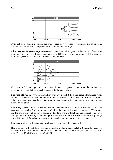

When set to 0 (middle position), the whole frequency response is optimised, i.e. as linear as possible. Make sure that each speaker has exactly the same settings.

**7. low frequencies (room adjustment)** – the *LOW* knob allows you to adjust the low frequencies via a built-in EQ mostly affecting the area around 100Hz and below, by around 1dB for each step up or down, according to local requirements and your taste.



When set to 0 (middle position), the whole frequency response is optimised, i.e. as linear as possible. Make sure that each speaker has exactly the same settings.

**8. ground lift switch** – with the ground lift switch you can lift the signal ground from earth (when set to *ON*) or by default keep it connected (when set to *OFF*). This allows you in some situation to reduce or remove unwanted hum noise when there are issues with grounding of your audio signals in your studio setup.

**9. standby switch** – you can turn the standby functionality *ON* or *OFF*. When set to *OFF*, the standby energy saving functions are not available and the unit will always be turned on. When set to *ON*, the unit will switch to power saving mode after a while without any audio signal. The power saving mode is indicated by a red ESI logo LED on the front panel (instead of the normally orange power ESI logo LED). When there is an audio signal again, regular operation resumes.

**10. power switch** – with the power switch you can turn uniK plus on and off.

**11. power port with ext. fuse** – use this connector to plug in the detachable 3-circuit line cord that connects to the power outlet. The connector contains a replaceable fuse (T1AL/250V in case of uniK 05+ and T2AL/250V in case of uniK 08+).